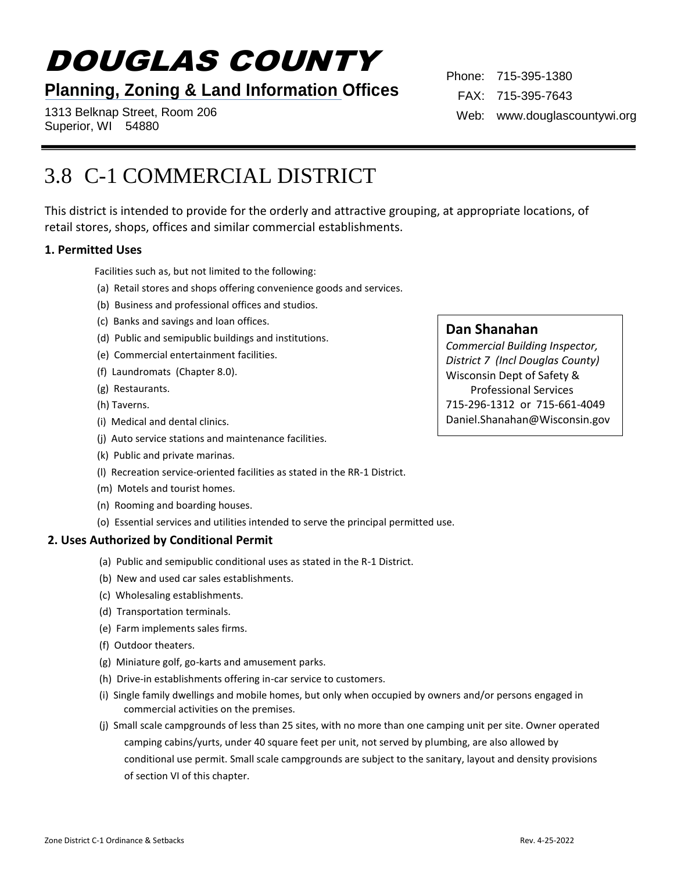# DOUGLAS COUNTY

## **Planning, Zoning & Land Information Offices**

1313 Belknap Street, Room 206 Superior, WI 54880

Phone: 715-395-1380 FAX: 715-395-7643 Web: www.douglascountywi.org

## 3.8 C-1 COMMERCIAL DISTRICT

This district is intended to provide for the orderly and attractive grouping, at appropriate locations, of retail stores, shops, offices and similar commercial establishments.

## **1. Permitted Uses**

Facilities such as, but not limited to the following:

- (a) Retail stores and shops offering convenience goods and services.
- (b) Business and professional offices and studios.
- (c) Banks and savings and loan offices.
- (d) Public and semipublic buildings and institutions.
- (e) Commercial entertainment facilities.
- (f) Laundromats (Chapter 8.0).
- (g) Restaurants.
- (h) Taverns.
- (i) Medical and dental clinics.
- (j) Auto service stations and maintenance facilities.
- (k) Public and private marinas.
- (l) Recreation service-oriented facilities as stated in the RR-1 District.
- (m) Motels and tourist homes.
- (n) Rooming and boarding houses.
- (o) Essential services and utilities intended to serve the principal permitted use.

## **2. Uses Authorized by Conditional Permit**

- (a) Public and semipublic conditional uses as stated in the R-1 District.
- (b) New and used car sales establishments.
- (c) Wholesaling establishments.
- (d) Transportation terminals.
- (e) Farm implements sales firms.
- (f) Outdoor theaters.
- (g) Miniature golf, go-karts and amusement parks.
- (h) Drive-in establishments offering in-car service to customers.
- (i) Single family dwellings and mobile homes, but only when occupied by owners and/or persons engaged in commercial activities on the premises.
- (j) Small scale campgrounds of less than 25 sites, with no more than one camping unit per site. Owner operated camping cabins/yurts, under 40 square feet per unit, not served by plumbing, are also allowed by conditional use permit. Small scale campgrounds are subject to the sanitary, layout and density provisions of section VI of this chapter.

## **Dan Shanahan**

*Commercial Building Inspector, District 7 (Incl Douglas County)* Wisconsin Dept of Safety & Professional Services 715-296-1312 or 715-661-4049 Daniel.Shanahan@Wisconsin.gov